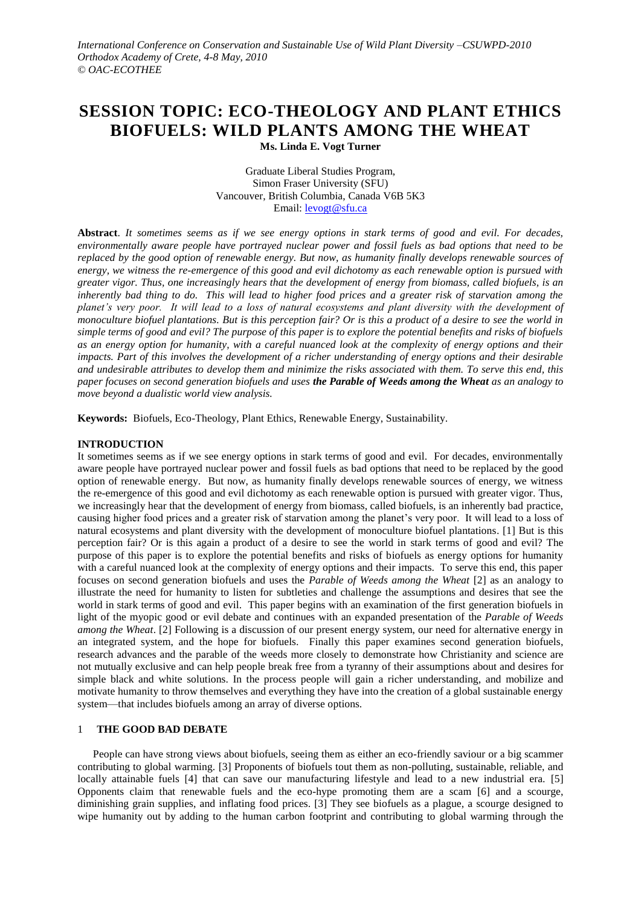# **SESSION TOPIC: ECO-THEOLOGY AND PLANT ETHICS BIOFUELS: WILD PLANTS AMONG THE WHEAT Ms. Linda E. Vogt Turner**

Graduate Liberal Studies Program, Simon Fraser University (SFU) Vancouver, British Columbia, Canada V6B 5K3 Email: [levogt@sfu.ca](mailto:levogt@sfu.ca)

**Abstract**. *It sometimes seems as if we see energy options in stark terms of good and evil. For decades, environmentally aware people have portrayed nuclear power and fossil fuels as bad options that need to be replaced by the good option of renewable energy. But now, as humanity finally develops renewable sources of energy, we witness the re-emergence of this good and evil dichotomy as each renewable option is pursued with greater vigor. Thus, one increasingly hears that the development of energy from biomass, called biofuels, is an inherently bad thing to do. This will lead to higher food prices and a greater risk of starvation among the*  planet's very poor. It will lead to a loss of natural ecosystems and plant diversity with the development of *monoculture biofuel plantations. But is this perception fair? Or is this a product of a desire to see the world in simple terms of good and evil? The purpose of this paper is to explore the potential benefits and risks of biofuels as an energy option for humanity, with a careful nuanced look at the complexity of energy options and their impacts. Part of this involves the development of a richer understanding of energy options and their desirable and undesirable attributes to develop them and minimize the risks associated with them. To serve this end, this paper focuses on second generation biofuels and uses the Parable of Weeds among the Wheat as an analogy to move beyond a dualistic world view analysis.* 

**Keywords:** Biofuels, Eco-Theology, Plant Ethics, Renewable Energy, Sustainability.

# **INTRODUCTION**

It sometimes seems as if we see energy options in stark terms of good and evil. For decades, environmentally aware people have portrayed nuclear power and fossil fuels as bad options that need to be replaced by the good option of renewable energy. But now, as humanity finally develops renewable sources of energy, we witness the re-emergence of this good and evil dichotomy as each renewable option is pursued with greater vigor. Thus, we increasingly hear that the development of energy from biomass, called biofuels, is an inherently bad practice, causing higher food prices and a greater risk of starvation among the planet's very poor. It will lead to a loss of natural ecosystems and plant diversity with the development of monoculture biofuel plantations. [1] But is this perception fair? Or is this again a product of a desire to see the world in stark terms of good and evil? The purpose of this paper is to explore the potential benefits and risks of biofuels as energy options for humanity with a careful nuanced look at the complexity of energy options and their impacts. To serve this end, this paper focuses on second generation biofuels and uses the *Parable of Weeds among the Wheat* [2] as an analogy to illustrate the need for humanity to listen for subtleties and challenge the assumptions and desires that see the world in stark terms of good and evil. This paper begins with an examination of the first generation biofuels in light of the myopic good or evil debate and continues with an expanded presentation of the *Parable of Weeds among the Wheat*. [2] Following is a discussion of our present energy system, our need for alternative energy in an integrated system, and the hope for biofuels. Finally this paper examines second generation biofuels, research advances and the parable of the weeds more closely to demonstrate how Christianity and science are not mutually exclusive and can help people break free from a tyranny of their assumptions about and desires for simple black and white solutions. In the process people will gain a richer understanding, and mobilize and motivate humanity to throw themselves and everything they have into the creation of a global sustainable energy system—that includes biofuels among an array of diverse options.

# 1 **THE GOOD BAD DEBATE**

People can have strong views about biofuels, seeing them as either an eco-friendly saviour or a big scammer contributing to global warming. [3] Proponents of biofuels tout them as non-polluting, sustainable, reliable, and locally attainable fuels [4] that can save our manufacturing lifestyle and lead to a new industrial era. [5] Opponents claim that renewable fuels and the eco-hype promoting them are a scam [6] and a scourge, diminishing grain supplies, and inflating food prices. [3] They see biofuels as a plague, a scourge designed to wipe humanity out by adding to the human carbon footprint and contributing to global warming through the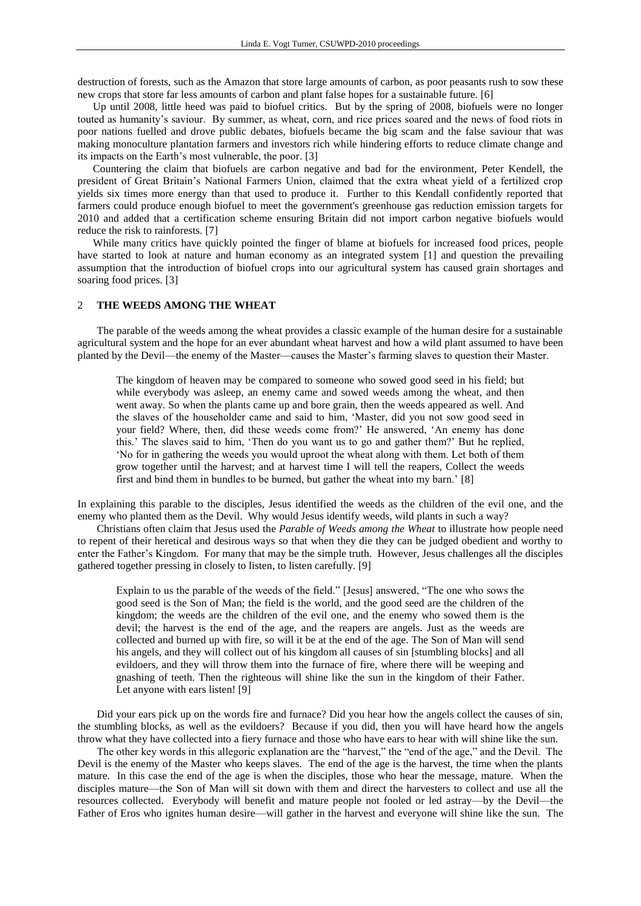destruction of forests, such as the Amazon that store large amounts of carbon, as poor peasants rush to sow these new crops that store far less amounts of carbon and plant false hopes for a sustainable future. [6]

Up until 2008, little heed was paid to biofuel critics. But by the spring of 2008, biofuels were no longer touted as humanity's saviour. By summer, as wheat, corn, and rice prices soared and the news of food riots in poor nations fuelled and drove public debates, biofuels became the big scam and the false saviour that was making monoculture plantation farmers and investors rich while hindering efforts to reduce climate change and its impacts on the Earth's most vulnerable, the poor. [3]

Countering the claim that biofuels are carbon negative and bad for the environment, Peter Kendell, the president of Great Britain's National Farmers Union, claimed that the extra wheat yield of a fertilized crop yields six times more energy than that used to produce it. Further to this Kendall confidently reported that farmers could produce enough biofuel to meet the government's greenhouse gas reduction emission targets for 2010 and added that a certification scheme ensuring Britain did not import carbon negative biofuels would reduce the risk to rainforests. [7]

While many critics have quickly pointed the finger of blame at biofuels for increased food prices, people have started to look at nature and human economy as an integrated system [1] and question the prevailing assumption that the introduction of biofuel crops into our agricultural system has caused grain shortages and soaring food prices. [3]

## 2 **THE WEEDS AMONG THE WHEAT**

The parable of the weeds among the wheat provides a classic example of the human desire for a sustainable agricultural system and the hope for an ever abundant wheat harvest and how a wild plant assumed to have been planted by the Devil—the enemy of the Master—causes the Master's farming slaves to question their Master.

The kingdom of heaven may be compared to someone who sowed good seed in his field; but while everybody was asleep, an enemy came and sowed weeds among the wheat, and then went away. So when the plants came up and bore grain, then the weeds appeared as well. And the slaves of the householder came and said to him, 'Master, did you not sow good seed in your field? Where, then, did these weeds come from?' He answered, 'An enemy has done this.' The slaves said to him, 'Then do you want us to go and gather them?' But he replied, 'No for in gathering the weeds you would uproot the wheat along with them. Let both of them grow together until the harvest; and at harvest time I will tell the reapers, Collect the weeds first and bind them in bundles to be burned, but gather the wheat into my barn.' [8]

In explaining this parable to the disciples, Jesus identified the weeds as the children of the evil one, and the enemy who planted them as the Devil. Why would Jesus identify weeds, wild plants in such a way?

Christians often claim that Jesus used the *Parable of Weeds among the Wheat* to illustrate how people need to repent of their heretical and desirous ways so that when they die they can be judged obedient and worthy to enter the Father's Kingdom. For many that may be the simple truth. However, Jesus challenges all the disciples gathered together pressing in closely to listen, to listen carefully. [9]

Explain to us the parable of the weeds of the field." [Jesus] answered, "The one who sows the good seed is the Son of Man; the field is the world, and the good seed are the children of the kingdom; the weeds are the children of the evil one, and the enemy who sowed them is the devil; the harvest is the end of the age, and the reapers are angels. Just as the weeds are collected and burned up with fire, so will it be at the end of the age. The Son of Man will send his angels, and they will collect out of his kingdom all causes of sin [stumbling blocks] and all evildoers, and they will throw them into the furnace of fire, where there will be weeping and gnashing of teeth. Then the righteous will shine like the sun in the kingdom of their Father. Let anyone with ears listen! [9]

Did your ears pick up on the words fire and furnace? Did you hear how the angels collect the causes of sin, the stumbling blocks, as well as the evildoers? Because if you did, then you will have heard how the angels throw what they have collected into a fiery furnace and those who have ears to hear with will shine like the sun.

The other key words in this allegoric explanation are the "harvest," the "end of the age," and the Devil. The Devil is the enemy of the Master who keeps slaves. The end of the age is the harvest, the time when the plants mature. In this case the end of the age is when the disciples, those who hear the message, mature. When the disciples mature—the Son of Man will sit down with them and direct the harvesters to collect and use all the resources collected. Everybody will benefit and mature people not fooled or led astray—by the Devil—the Father of Eros who ignites human desire—will gather in the harvest and everyone will shine like the sun. The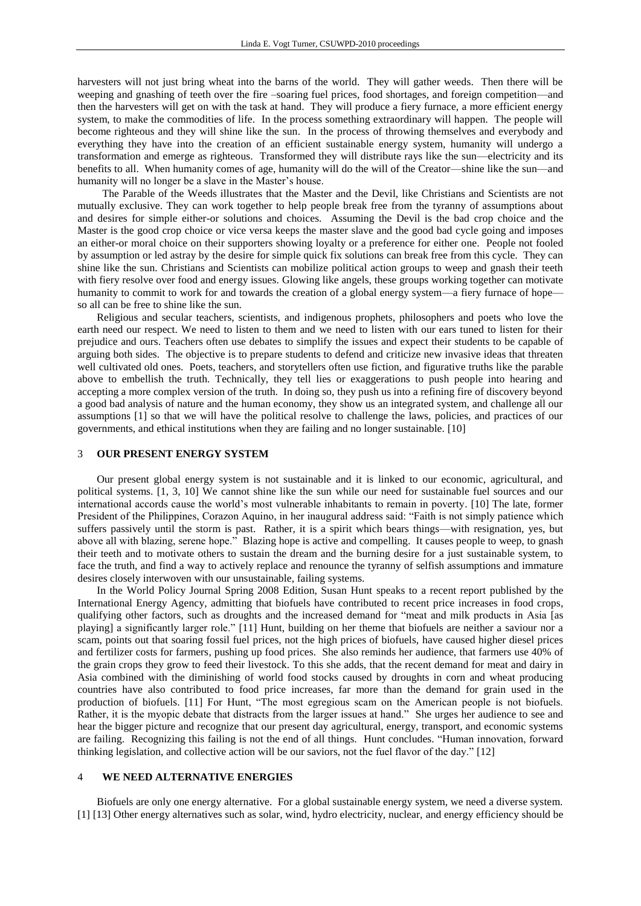harvesters will not just bring wheat into the barns of the world. They will gather weeds. Then there will be weeping and gnashing of teeth over the fire –soaring fuel prices, food shortages, and foreign competition—and then the harvesters will get on with the task at hand. They will produce a fiery furnace, a more efficient energy system, to make the commodities of life. In the process something extraordinary will happen. The people will become righteous and they will shine like the sun. In the process of throwing themselves and everybody and everything they have into the creation of an efficient sustainable energy system, humanity will undergo a transformation and emerge as righteous. Transformed they will distribute rays like the sun—electricity and its benefits to all. When humanity comes of age, humanity will do the will of the Creator—shine like the sun—and humanity will no longer be a slave in the Master's house.

 The Parable of the Weeds illustrates that the Master and the Devil, like Christians and Scientists are not mutually exclusive. They can work together to help people break free from the tyranny of assumptions about and desires for simple either-or solutions and choices. Assuming the Devil is the bad crop choice and the Master is the good crop choice or vice versa keeps the master slave and the good bad cycle going and imposes an either-or moral choice on their supporters showing loyalty or a preference for either one. People not fooled by assumption or led astray by the desire for simple quick fix solutions can break free from this cycle. They can shine like the sun. Christians and Scientists can mobilize political action groups to weep and gnash their teeth with fiery resolve over food and energy issues. Glowing like angels, these groups working together can motivate humanity to commit to work for and towards the creation of a global energy system—a fiery furnace of hope so all can be free to shine like the sun.

Religious and secular teachers, scientists, and indigenous prophets, philosophers and poets who love the earth need our respect. We need to listen to them and we need to listen with our ears tuned to listen for their prejudice and ours. Teachers often use debates to simplify the issues and expect their students to be capable of arguing both sides. The objective is to prepare students to defend and criticize new invasive ideas that threaten well cultivated old ones. Poets, teachers, and storytellers often use fiction, and figurative truths like the parable above to embellish the truth. Technically, they tell lies or exaggerations to push people into hearing and accepting a more complex version of the truth. In doing so, they push us into a refining fire of discovery beyond a good bad analysis of nature and the human economy, they show us an integrated system, and challenge all our assumptions [1] so that we will have the political resolve to challenge the laws, policies, and practices of our governments, and ethical institutions when they are failing and no longer sustainable. [10]

#### 3 **OUR PRESENT ENERGY SYSTEM**

Our present global energy system is not sustainable and it is linked to our economic, agricultural, and political systems. [1, 3, 10] We cannot shine like the sun while our need for sustainable fuel sources and our international accords cause the world's most vulnerable inhabitants to remain in poverty. [10] The late, former President of the Philippines, Corazon Aquino, in her inaugural address said: "Faith is not simply patience which suffers passively until the storm is past. Rather, it is a spirit which bears things—with resignation, yes, but above all with blazing, serene hope." Blazing hope is active and compelling. It causes people to weep, to gnash their teeth and to motivate others to sustain the dream and the burning desire for a just sustainable system, to face the truth, and find a way to actively replace and renounce the tyranny of selfish assumptions and immature desires closely interwoven with our unsustainable, failing systems.

In the World Policy Journal Spring 2008 Edition, Susan Hunt speaks to a recent report published by the International Energy Agency, admitting that biofuels have contributed to recent price increases in food crops, qualifying other factors, such as droughts and the increased demand for "meat and milk products in Asia [as playing] a significantly larger role." [11] Hunt, building on her theme that biofuels are neither a saviour nor a scam, points out that soaring fossil fuel prices, not the high prices of biofuels, have caused higher diesel prices and fertilizer costs for farmers, pushing up food prices. She also reminds her audience, that farmers use 40% of the grain crops they grow to feed their livestock. To this she adds, that the recent demand for meat and dairy in Asia combined with the diminishing of world food stocks caused by droughts in corn and wheat producing countries have also contributed to food price increases, far more than the demand for grain used in the production of biofuels. [11] For Hunt, "The most egregious scam on the American people is not biofuels. Rather, it is the myopic debate that distracts from the larger issues at hand." She urges her audience to see and hear the bigger picture and recognize that our present day agricultural, energy, transport, and economic systems are failing. Recognizing this failing is not the end of all things. Hunt concludes. "Human innovation, forward thinking legislation, and collective action will be our saviors, not the fuel flavor of the day." [12]

#### 4 **WE NEED ALTERNATIVE ENERGIES**

Biofuels are only one energy alternative. For a global sustainable energy system, we need a diverse system. [1] [13] Other energy alternatives such as solar, wind, hydro electricity, nuclear, and energy efficiency should be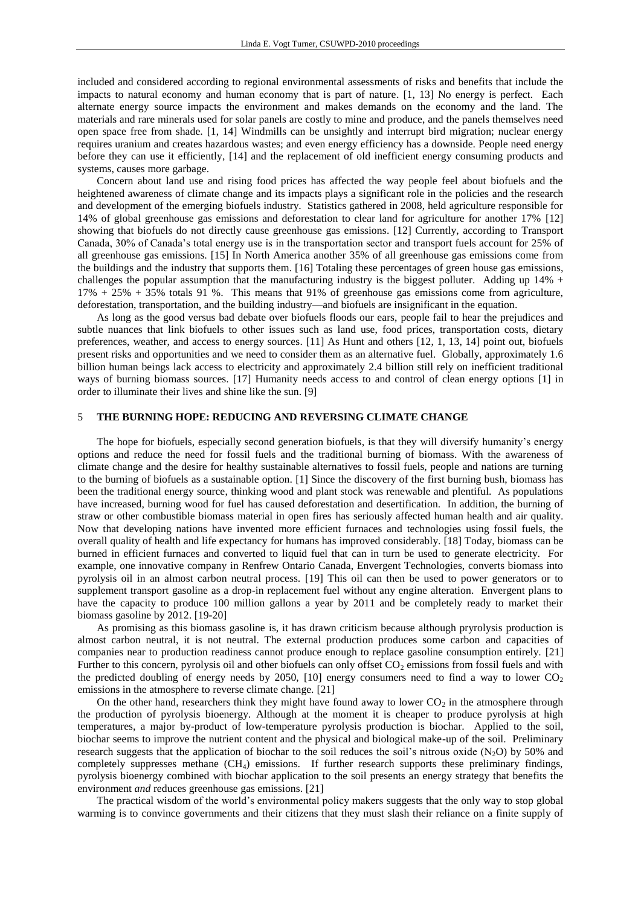included and considered according to regional environmental assessments of risks and benefits that include the impacts to natural economy and human economy that is part of nature. [1, 13] No energy is perfect. Each alternate energy source impacts the environment and makes demands on the economy and the land. The materials and rare minerals used for solar panels are costly to mine and produce, and the panels themselves need open space free from shade. [1, 14] Windmills can be unsightly and interrupt bird migration; nuclear energy requires uranium and creates hazardous wastes; and even energy efficiency has a downside. People need energy before they can use it efficiently, [14] and the replacement of old inefficient energy consuming products and systems, causes more garbage.

Concern about land use and rising food prices has affected the way people feel about biofuels and the heightened awareness of climate change and its impacts plays a significant role in the policies and the research and development of the emerging biofuels industry. Statistics gathered in 2008, held agriculture responsible for 14% of global greenhouse gas emissions and deforestation to clear land for agriculture for another 17% [12] showing that biofuels do not directly cause greenhouse gas emissions. [12] Currently, according to Transport Canada, 30% of Canada's total energy use is in the transportation sector and transport fuels account for 25% of all greenhouse gas emissions. [15] In North America another 35% of all greenhouse gas emissions come from the buildings and the industry that supports them. [16] Totaling these percentages of green house gas emissions, challenges the popular assumption that the manufacturing industry is the biggest polluter. Adding up  $14\% +$ 17% + 25% + 35% totals 91 %. This means that 91% of greenhouse gas emissions come from agriculture, deforestation, transportation, and the building industry—and biofuels are insignificant in the equation.

As long as the good versus bad debate over biofuels floods our ears, people fail to hear the prejudices and subtle nuances that link biofuels to other issues such as land use, food prices, transportation costs, dietary preferences, weather, and access to energy sources. [11] As Hunt and others [12, 1, 13, 14] point out, biofuels present risks and opportunities and we need to consider them as an alternative fuel. Globally, approximately 1.6 billion human beings lack access to electricity and approximately 2.4 billion still rely on inefficient traditional ways of burning biomass sources. [17] Humanity needs access to and control of clean energy options [1] in order to illuminate their lives and shine like the sun. [9]

## 5 **THE BURNING HOPE: REDUCING AND REVERSING CLIMATE CHANGE**

The hope for biofuels, especially second generation biofuels, is that they will diversify humanity's energy options and reduce the need for fossil fuels and the traditional burning of biomass. With the awareness of climate change and the desire for healthy sustainable alternatives to fossil fuels, people and nations are turning to the burning of biofuels as a sustainable option. [1] Since the discovery of the first burning bush, biomass has been the traditional energy source, thinking wood and plant stock was renewable and plentiful. As populations have increased, burning wood for fuel has caused deforestation and desertification. In addition, the burning of straw or other combustible biomass material in open fires has seriously affected human health and air quality. Now that developing nations have invented more efficient furnaces and technologies using fossil fuels, the overall quality of health and life expectancy for humans has improved considerably. [18] Today, biomass can be burned in efficient furnaces and converted to liquid fuel that can in turn be used to generate electricity. For example, one innovative company in Renfrew Ontario Canada, Envergent Technologies, converts biomass into pyrolysis oil in an almost carbon neutral process. [19] This oil can then be used to power generators or to supplement transport gasoline as a drop-in replacement fuel without any engine alteration. Envergent plans to have the capacity to produce 100 million gallons a year by 2011 and be completely ready to market their biomass gasoline by 2012. [19-20]

As promising as this biomass gasoline is, it has drawn criticism because although pryrolysis production is almost carbon neutral, it is not neutral. The external production produces some carbon and capacities of companies near to production readiness cannot produce enough to replace gasoline consumption entirely. [21] Further to this concern, pyrolysis oil and other biofuels can only offset  $CO_2$  emissions from fossil fuels and with the predicted doubling of energy needs by 2050, [10] energy consumers need to find a way to lower  $CO<sub>2</sub>$ emissions in the atmosphere to reverse climate change. [21]

On the other hand, researchers think they might have found away to lower  $CO<sub>2</sub>$  in the atmosphere through the production of pyrolysis bioenergy. Although at the moment it is cheaper to produce pyrolysis at high temperatures, a major by-product of low-temperature pyrolysis production is biochar. Applied to the soil, biochar seems to improve the nutrient content and the physical and biological make-up of the soil. Preliminary research suggests that the application of biochar to the soil reduces the soil's nitrous oxide (N<sub>2</sub>O) by 50% and completely suppresses methane  $(CH<sub>4</sub>)$  emissions. If further research supports these preliminary findings, pyrolysis bioenergy combined with biochar application to the soil presents an energy strategy that benefits the environment *and* reduces greenhouse gas emissions. [21]

The practical wisdom of the world's environmental policy makers suggests that the only way to stop global warming is to convince governments and their citizens that they must slash their reliance on a finite supply of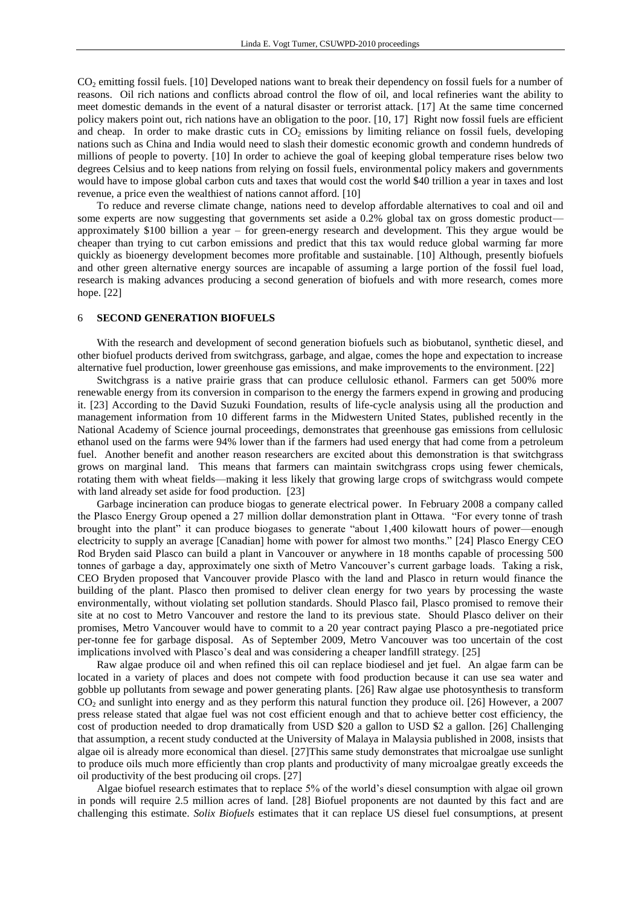CO<sub>2</sub> emitting fossil fuels. [10] Developed nations want to break their dependency on fossil fuels for a number of reasons. Oil rich nations and conflicts abroad control the flow of oil, and local refineries want the ability to meet domestic demands in the event of a natural disaster or terrorist attack. [17] At the same time concerned policy makers point out, rich nations have an obligation to the poor. [10, 17] Right now fossil fuels are efficient and cheap. In order to make drastic cuts in  $CO<sub>2</sub>$  emissions by limiting reliance on fossil fuels, developing nations such as China and India would need to slash their domestic economic growth and condemn hundreds of millions of people to poverty. [10] In order to achieve the goal of keeping global temperature rises below two degrees Celsius and to keep nations from relying on fossil fuels, environmental policy makers and governments would have to impose global carbon cuts and taxes that would cost the world \$40 trillion a year in taxes and lost revenue, a price even the wealthiest of nations cannot afford. [10]

To reduce and reverse climate change, nations need to develop affordable alternatives to coal and oil and some experts are now suggesting that governments set aside a 0.2% global tax on gross domestic product approximately \$100 billion a year – for green-energy research and development. This they argue would be cheaper than trying to cut carbon emissions and predict that this tax would reduce global warming far more quickly as bioenergy development becomes more profitable and sustainable. [10] Although, presently biofuels and other green alternative energy sources are incapable of assuming a large portion of the fossil fuel load, research is making advances producing a second generation of biofuels and with more research, comes more hope. [22]

## 6 **SECOND GENERATION BIOFUELS**

With the research and development of second generation biofuels such as biobutanol, synthetic diesel, and other biofuel products derived from switchgrass, garbage, and algae, comes the hope and expectation to increase alternative fuel production, lower greenhouse gas emissions, and make improvements to the environment. [22]

Switchgrass is a native prairie grass that can produce cellulosic ethanol. Farmers can get 500% more renewable energy from its conversion in comparison to the energy the farmers expend in growing and producing it. [23] According to the David Suzuki Foundation, results of life-cycle analysis using all the production and management information from 10 different farms in the Midwestern United States, published recently in the National Academy of Science journal proceedings, demonstrates that greenhouse gas emissions from cellulosic ethanol used on the farms were 94% lower than if the farmers had used energy that had come from a petroleum fuel. Another benefit and another reason researchers are excited about this demonstration is that switchgrass grows on marginal land. This means that farmers can maintain switchgrass crops using fewer chemicals, rotating them with wheat fields—making it less likely that growing large crops of switchgrass would compete with land already set aside for food production. [23]

Garbage incineration can produce biogas to generate electrical power. In February 2008 a company called the Plasco Energy Group opened a 27 million dollar demonstration plant in Ottawa. "For every tonne of trash brought into the plant" it can produce biogases to generate "about 1,400 kilowatt hours of power—enough electricity to supply an average [Canadian] home with power for almost two months." [24] Plasco Energy CEO Rod Bryden said Plasco can build a plant in Vancouver or anywhere in 18 months capable of processing 500 tonnes of garbage a day, approximately one sixth of Metro Vancouver's current garbage loads. Taking a risk, CEO Bryden proposed that Vancouver provide Plasco with the land and Plasco in return would finance the building of the plant. Plasco then promised to deliver clean energy for two years by processing the waste environmentally, without violating set pollution standards. Should Plasco fail, Plasco promised to remove their site at no cost to Metro Vancouver and restore the land to its previous state. Should Plasco deliver on their promises, Metro Vancouver would have to commit to a 20 year contract paying Plasco a pre-negotiated price per-tonne fee for garbage disposal. As of September 2009, Metro Vancouver was too uncertain of the cost implications involved with Plasco's deal and was considering a cheaper landfill strategy. [25]

Raw algae produce oil and when refined this oil can replace biodiesel and jet fuel. An algae farm can be located in a variety of places and does not compete with food production because it can use sea water and gobble up pollutants from sewage and power generating plants. [26] Raw algae use photosynthesis to transform CO<sup>2</sup> and sunlight into energy and as they perform this natural function they produce oil. [26] However, a 2007 press release stated that algae fuel was not cost efficient enough and that to achieve better cost efficiency, the cost of production needed to drop dramatically from USD \$20 a gallon to USD \$2 a gallon. [26] Challenging that assumption, a recent study conducted at the University of Malaya in Malaysia published in 2008, insists that algae oil is already more economical than diesel. [27]This same study demonstrates that microalgae use sunlight to produce oils much more efficiently than crop plants and productivity of many microalgae greatly exceeds the oil productivity of the best producing oil crops. [27]

Algae biofuel research estimates that to replace 5% of the world's diesel consumption with algae oil grown in ponds will require 2.5 million acres of land. [28] Biofuel proponents are not daunted by this fact and are challenging this estimate. *Solix Biofuels* estimates that it can replace US diesel fuel consumptions, at present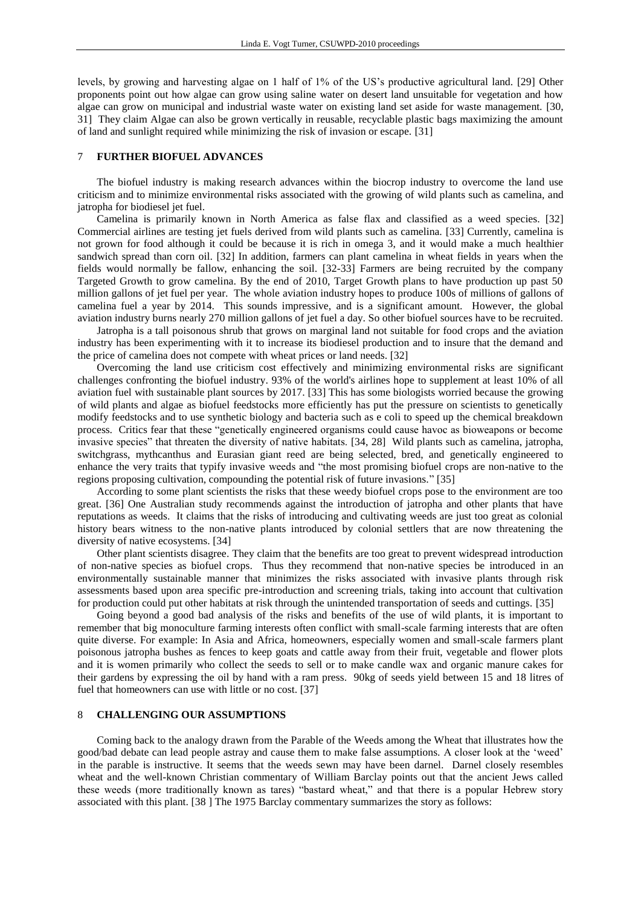levels, by growing and harvesting algae on 1 half of 1% of the US's productive agricultural land. [29] Other proponents point out how algae can grow using saline water on desert land unsuitable for vegetation and how algae can grow on municipal and industrial waste water on existing land set aside for waste management. [30, 31] They claim Algae can also be grown vertically in reusable, recyclable plastic bags maximizing the amount of land and sunlight required while minimizing the risk of invasion or escape. [31]

#### 7 **FURTHER BIOFUEL ADVANCES**

The biofuel industry is making research advances within the biocrop industry to overcome the land use criticism and to minimize environmental risks associated with the growing of wild plants such as camelina, and jatropha for biodiesel jet fuel.

Camelina is primarily known in North America as false flax and classified as a weed species. [32] Commercial airlines are testing jet fuels derived from wild plants such as camelina. [33] Currently, camelina is not grown for food although it could be because it is rich in omega 3, and it would make a much healthier sandwich spread than corn oil. [32] In addition, farmers can plant camelina in wheat fields in years when the fields would normally be fallow, enhancing the soil. [32-33] Farmers are being recruited by the company Targeted Growth to grow camelina. By the end of 2010, Target Growth plans to have production up past 50 million gallons of jet fuel per year. The whole aviation industry hopes to produce 100s of millions of gallons of camelina fuel a year by 2014. This sounds impressive, and is a significant amount. However, the global aviation industry burns nearly 270 million gallons of jet fuel a day. So other biofuel sources have to be recruited.

Jatropha is a tall poisonous shrub that grows on marginal land not suitable for food crops and the aviation industry has been experimenting with it to increase its biodiesel production and to insure that the demand and the price of camelina does not compete with wheat prices or land needs. [32]

Overcoming the land use criticism cost effectively and minimizing environmental risks are significant challenges confronting the biofuel industry. 93% of the world's airlines hope to supplement at least 10% of all aviation fuel with sustainable plant sources by 2017. [33] This has some biologists worried because the growing of wild plants and algae as biofuel feedstocks more efficiently has put the pressure on scientists to genetically modify feedstocks and to use synthetic biology and bacteria such as e coli to speed up the chemical breakdown process. Critics fear that these "genetically engineered organisms could cause havoc as bioweapons or become invasive species" that threaten the diversity of native habitats. [34, 28] Wild plants such as camelina, jatropha, switchgrass, mythcanthus and Eurasian giant reed are being selected, bred, and genetically engineered to enhance the very traits that typify invasive weeds and "the most promising biofuel crops are non-native to the regions proposing cultivation, compounding the potential risk of future invasions." [35]

According to some plant scientists the risks that these weedy biofuel crops pose to the environment are too great. [36] One Australian study recommends against the introduction of jatropha and other plants that have reputations as weeds. It claims that the risks of introducing and cultivating weeds are just too great as colonial history bears witness to the non-native plants introduced by colonial settlers that are now threatening the diversity of native ecosystems. [34]

Other plant scientists disagree. They claim that the benefits are too great to prevent widespread introduction of non-native species as biofuel crops. Thus they recommend that non-native species be introduced in an environmentally sustainable manner that minimizes the risks associated with invasive plants through risk assessments based upon area specific pre-introduction and screening trials, taking into account that cultivation for production could put other habitats at risk through the unintended transportation of seeds and cuttings. [35]

Going beyond a good bad analysis of the risks and benefits of the use of wild plants, it is important to remember that big monoculture farming interests often conflict with small-scale farming interests that are often quite diverse. For example: In Asia and Africa, homeowners, especially women and small-scale farmers plant poisonous jatropha bushes as fences to keep goats and cattle away from their fruit, vegetable and flower plots and it is women primarily who collect the seeds to sell or to make candle wax and organic manure cakes for their gardens by expressing the oil by hand with a ram press. 90kg of seeds yield between 15 and 18 litres of fuel that homeowners can use with little or no cost. [37]

#### 8 **CHALLENGING OUR ASSUMPTIONS**

Coming back to the analogy drawn from the Parable of the Weeds among the Wheat that illustrates how the good/bad debate can lead people astray and cause them to make false assumptions. A closer look at the 'weed' in the parable is instructive. It seems that the weeds sewn may have been darnel. Darnel closely resembles wheat and the well-known Christian commentary of William Barclay points out that the ancient Jews called these weeds (more traditionally known as tares) "bastard wheat," and that there is a popular Hebrew story associated with this plant. [38 ] The 1975 Barclay commentary summarizes the story as follows: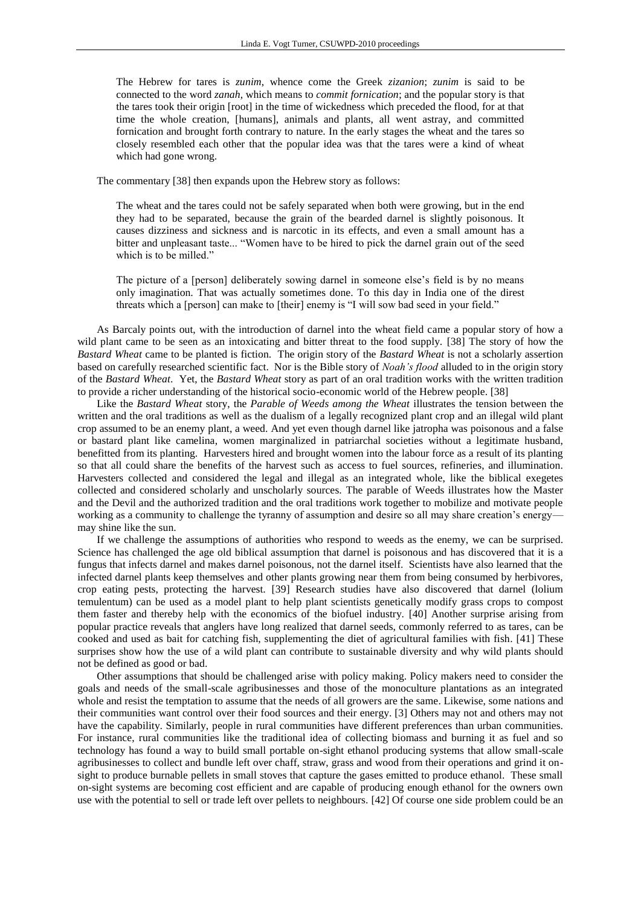The Hebrew for tares is *zunim*, whence come the Greek *zizanion*; *zunim* is said to be connected to the word *zanah*, which means to *commit fornication*; and the popular story is that the tares took their origin [root] in the time of wickedness which preceded the flood, for at that time the whole creation, [humans], animals and plants, all went astray, and committed fornication and brought forth contrary to nature. In the early stages the wheat and the tares so closely resembled each other that the popular idea was that the tares were a kind of wheat which had gone wrong.

The commentary [38] then expands upon the Hebrew story as follows:

The wheat and the tares could not be safely separated when both were growing, but in the end they had to be separated, because the grain of the bearded darnel is slightly poisonous. It causes dizziness and sickness and is narcotic in its effects, and even a small amount has a bitter and unpleasant taste... "Women have to be hired to pick the darnel grain out of the seed which is to be milled."

The picture of a [person] deliberately sowing darnel in someone else's field is by no means only imagination. That was actually sometimes done. To this day in India one of the direst threats which a [person] can make to [their] enemy is "I will sow bad seed in your field."

As Barcaly points out, with the introduction of darnel into the wheat field came a popular story of how a wild plant came to be seen as an intoxicating and bitter threat to the food supply. [38] The story of how the *Bastard Wheat* came to be planted is fiction. The origin story of the *Bastard Wheat* is not a scholarly assertion based on carefully researched scientific fact. Nor is the Bible story of *Noah's flood* alluded to in the origin story of the *Bastard Wheat*. Yet, the *Bastard Wheat* story as part of an oral tradition works with the written tradition to provide a richer understanding of the historical socio-economic world of the Hebrew people. [38]

Like the *Bastard Wheat* story, the *Parable of Weeds among the Wheat* illustrates the tension between the written and the oral traditions as well as the dualism of a legally recognized plant crop and an illegal wild plant crop assumed to be an enemy plant, a weed. And yet even though darnel like jatropha was poisonous and a false or bastard plant like camelina, women marginalized in patriarchal societies without a legitimate husband, benefitted from its planting. Harvesters hired and brought women into the labour force as a result of its planting so that all could share the benefits of the harvest such as access to fuel sources, refineries, and illumination. Harvesters collected and considered the legal and illegal as an integrated whole, like the biblical exegetes collected and considered scholarly and unscholarly sources. The parable of Weeds illustrates how the Master and the Devil and the authorized tradition and the oral traditions work together to mobilize and motivate people working as a community to challenge the tyranny of assumption and desire so all may share creation's energy may shine like the sun.

If we challenge the assumptions of authorities who respond to weeds as the enemy, we can be surprised. Science has challenged the age old biblical assumption that darnel is poisonous and has discovered that it is a fungus that infects darnel and makes darnel poisonous, not the darnel itself. Scientists have also learned that the infected darnel plants keep themselves and other plants growing near them from being consumed by herbivores, crop eating pests, protecting the harvest. [39] Research studies have also discovered that darnel (lolium temulentum) can be used as a model plant to help plant scientists genetically modify grass crops to compost them faster and thereby help with the economics of the biofuel industry. [40] Another surprise arising from popular practice reveals that anglers have long realized that darnel seeds, commonly referred to as tares, can be cooked and used as bait for catching fish, supplementing the diet of agricultural families with fish. [41] These surprises show how the use of a wild plant can contribute to sustainable diversity and why wild plants should not be defined as good or bad.

Other assumptions that should be challenged arise with policy making. Policy makers need to consider the goals and needs of the small-scale agribusinesses and those of the monoculture plantations as an integrated whole and resist the temptation to assume that the needs of all growers are the same. Likewise, some nations and their communities want control over their food sources and their energy. [3] Others may not and others may not have the capability. Similarly, people in rural communities have different preferences than urban communities. For instance, rural communities like the traditional idea of collecting biomass and burning it as fuel and so technology has found a way to build small portable on-sight ethanol producing systems that allow small-scale agribusinesses to collect and bundle left over chaff, straw, grass and wood from their operations and grind it onsight to produce burnable pellets in small stoves that capture the gases emitted to produce ethanol. These small on-sight systems are becoming cost efficient and are capable of producing enough ethanol for the owners own use with the potential to sell or trade left over pellets to neighbours. [42] Of course one side problem could be an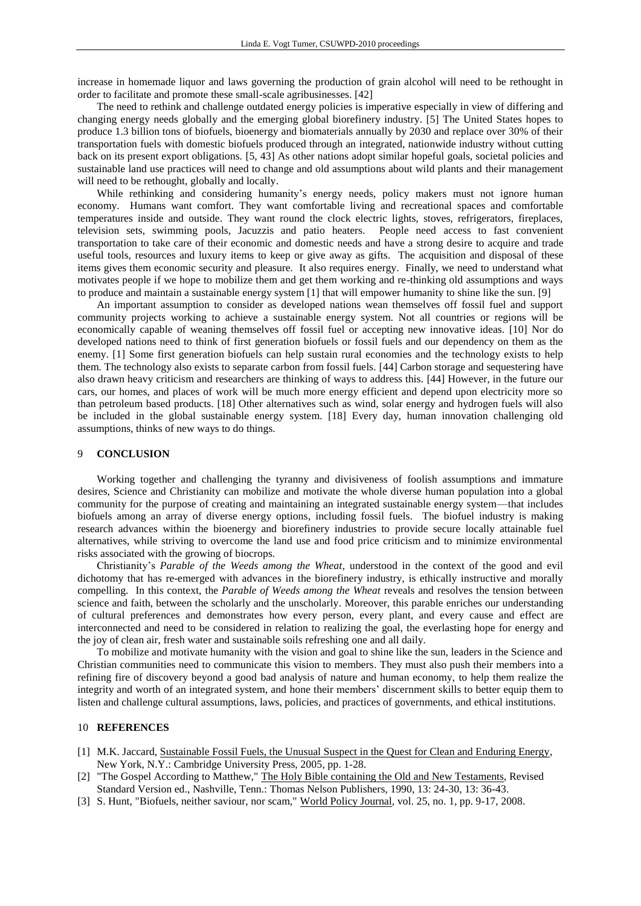increase in homemade liquor and laws governing the production of grain alcohol will need to be rethought in order to facilitate and promote these small-scale agribusinesses. [42]

The need to rethink and challenge outdated energy policies is imperative especially in view of differing and changing energy needs globally and the emerging global biorefinery industry. [5] The United States hopes to produce 1.3 billion tons of biofuels, bioenergy and biomaterials annually by 2030 and replace over 30% of their transportation fuels with domestic biofuels produced through an integrated, nationwide industry without cutting back on its present export obligations. [5, 43] As other nations adopt similar hopeful goals, societal policies and sustainable land use practices will need to change and old assumptions about wild plants and their management will need to be rethought, globally and locally.

While rethinking and considering humanity's energy needs, policy makers must not ignore human economy. Humans want comfort. They want comfortable living and recreational spaces and comfortable temperatures inside and outside. They want round the clock electric lights, stoves, refrigerators, fireplaces, television sets, swimming pools, Jacuzzis and patio heaters. People need access to fast convenient transportation to take care of their economic and domestic needs and have a strong desire to acquire and trade useful tools, resources and luxury items to keep or give away as gifts. The acquisition and disposal of these items gives them economic security and pleasure. It also requires energy. Finally, we need to understand what motivates people if we hope to mobilize them and get them working and re-thinking old assumptions and ways to produce and maintain a sustainable energy system [1] that will empower humanity to shine like the sun. [9]

An important assumption to consider as developed nations wean themselves off fossil fuel and support community projects working to achieve a sustainable energy system. Not all countries or regions will be economically capable of weaning themselves off fossil fuel or accepting new innovative ideas. [10] Nor do developed nations need to think of first generation biofuels or fossil fuels and our dependency on them as the enemy. [1] Some first generation biofuels can help sustain rural economies and the technology exists to help them. The technology also exists to separate carbon from fossil fuels. [44] Carbon storage and sequestering have also drawn heavy criticism and researchers are thinking of ways to address this. [44] However, in the future our cars, our homes, and places of work will be much more energy efficient and depend upon electricity more so than petroleum based products. [18] Other alternatives such as wind, solar energy and hydrogen fuels will also be included in the global sustainable energy system. [18] Every day, human innovation challenging old assumptions, thinks of new ways to do things.

#### 9 **CONCLUSION**

Working together and challenging the tyranny and divisiveness of foolish assumptions and immature desires, Science and Christianity can mobilize and motivate the whole diverse human population into a global community for the purpose of creating and maintaining an integrated sustainable energy system—that includes biofuels among an array of diverse energy options, including fossil fuels. The biofuel industry is making research advances within the bioenergy and biorefinery industries to provide secure locally attainable fuel alternatives, while striving to overcome the land use and food price criticism and to minimize environmental risks associated with the growing of biocrops.

Christianity's *Parable of the Weeds among the Wheat,* understood in the context of the good and evil dichotomy that has re-emerged with advances in the biorefinery industry, is ethically instructive and morally compelling. In this context, the *Parable of Weeds among the Wheat* reveals and resolves the tension between science and faith, between the scholarly and the unscholarly. Moreover, this parable enriches our understanding of cultural preferences and demonstrates how every person, every plant, and every cause and effect are interconnected and need to be considered in relation to realizing the goal, the everlasting hope for energy and the joy of clean air, fresh water and sustainable soils refreshing one and all daily.

To mobilize and motivate humanity with the vision and goal to shine like the sun, leaders in the Science and Christian communities need to communicate this vision to members. They must also push their members into a refining fire of discovery beyond a good bad analysis of nature and human economy, to help them realize the integrity and worth of an integrated system, and hone their members' discernment skills to better equip them to listen and challenge cultural assumptions, laws, policies, and practices of governments, and ethical institutions.

#### 10 **REFERENCES**

- [1] M.K. Jaccard, Sustainable Fossil Fuels, the Unusual Suspect in the Quest for Clean and Enduring Energy, New York, N.Y.: Cambridge University Press, 2005, pp. 1-28.
- [2] "The Gospel According to Matthew," The Holy Bible containing the Old and New Testaments, Revised Standard Version ed., Nashville, Tenn.: Thomas Nelson Publishers, 1990, 13: 24-30, 13: 36-43.
- [3] S. Hunt, "Biofuels, neither saviour, nor scam," World Policy Journal, vol. 25, no. 1, pp. 9-17, 2008.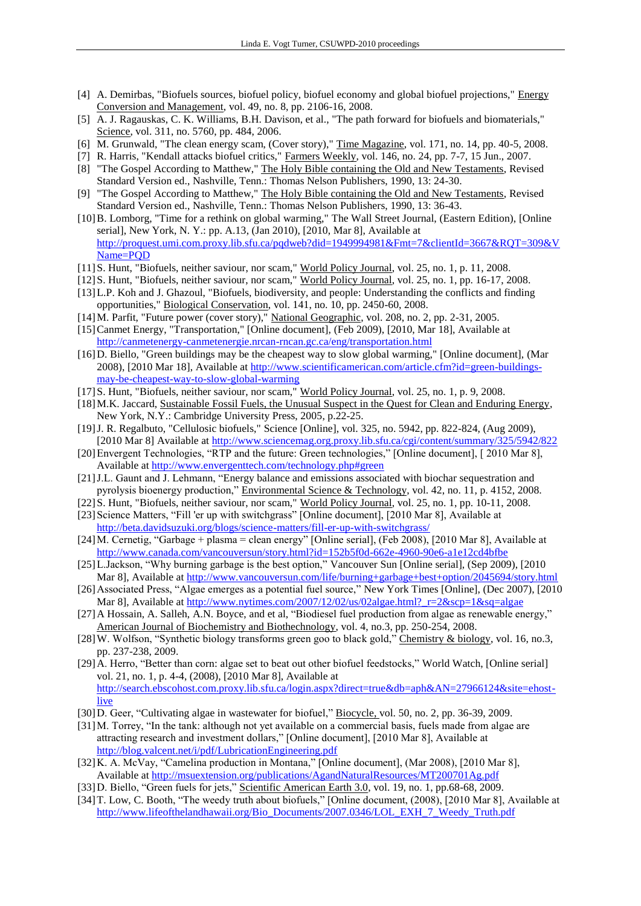- [4] A. Demirbas, "Biofuels sources, biofuel policy, biofuel economy and global biofuel projections," Energy Conversion and Management, vol. 49, no. 8, pp. 2106-16, 2008.
- [5] A. J. Ragauskas, C. K. Williams, B.H. Davison, et al., "The path forward for biofuels and biomaterials," Science, vol. 311, no. 5760, pp. 484, 2006.
- [6] M. Grunwald, "The clean energy scam, (Cover story)," Time Magazine, vol. 171, no. 14, pp. 40-5, 2008.
- [7] R. Harris, "Kendall attacks biofuel critics," Farmers Weekly, vol. 146, no. 24, pp. 7-7, 15 Jun., 2007.
- [8] "The Gospel According to Matthew," The Holy Bible containing the Old and New Testaments, Revised Standard Version ed., Nashville, Tenn.: Thomas Nelson Publishers, 1990, 13: 24-30.
- [9] "The Gospel According to Matthew," The Holy Bible containing the Old and New Testaments, Revised Standard Version ed., Nashville, Tenn.: Thomas Nelson Publishers, 1990, 13: 36-43.
- [10]B. Lomborg, "Time for a rethink on global warming," The Wall Street Journal, (Eastern Edition), [Online serial], New York, N. Y.: pp. A.13, (Jan 2010), [2010, Mar 8], Available at [http://proquest.umi.com.proxy.lib.sfu.ca/pqdweb?did=1949994981&Fmt=7&clientId=3667&RQT=309&V](http://proquest.umi.com.proxy.lib.sfu.ca/pqdweb?did=1949994981&Fmt=7&clientId=3667&RQT=309&VName=PQD) [Name=PQD](http://proquest.umi.com.proxy.lib.sfu.ca/pqdweb?did=1949994981&Fmt=7&clientId=3667&RQT=309&VName=PQD)
- [11]S. Hunt, "Biofuels, neither saviour, nor scam," World Policy Journal, vol. 25, no. 1, p. 11, 2008.
- [12]S. Hunt, "Biofuels, neither saviour, nor scam," World Policy Journal, vol. 25, no. 1, pp. 16-17, 2008.
- [13]L.P. Koh and J. Ghazoul, "Biofuels, biodiversity, and people: Understanding the conflicts and finding opportunities," Biological Conservation, vol. 141, no. 10, pp. 2450-60, 2008.
- [14]M. Parfit, "Future power (cover story)," National Geographic, vol. 208, no. 2, pp. 2-31, 2005.
- [15]Canmet Energy, "Transportation," [Online document], (Feb 2009), [2010, Mar 18], Available at <http://canmetenergy-canmetenergie.nrcan-rncan.gc.ca/eng/transportation.html>
- [16]D. Biello, "Green buildings may be the cheapest way to slow global warming," [Online document], (Mar 2008), [2010 Mar 18], Available at [http://www.scientificamerican.com/article.cfm?id=green-buildings](http://www.scientificamerican.com/article.cfm?id=green-buildings-may-be-cheapest-way-to-slow-global-warming)[may-be-cheapest-way-to-slow-global-warming](http://www.scientificamerican.com/article.cfm?id=green-buildings-may-be-cheapest-way-to-slow-global-warming)
- [17]S. Hunt, "Biofuels, neither saviour, nor scam," World Policy Journal, vol. 25, no. 1, p. 9, 2008.
- [18]M.K. Jaccard, Sustainable Fossil Fuels, the Unusual Suspect in the Quest for Clean and Enduring Energy, New York, N.Y.: Cambridge University Press, 2005, p.22-25.
- [19]J. R. Regalbuto, "Cellulosic biofuels," Science [Online], vol. 325, no. 5942, pp. 822-824, (Aug 2009), [2010 Mar 8] Available at <http://www.sciencemag.org.proxy.lib.sfu.ca/cgi/content/summary/325/5942/822>
- [20] Envergent Technologies, "RTP and the future: Green technologies," [Online document], [2010 Mar 8], Available at<http://www.envergenttech.com/technology.php#green>
- [21]J.L. Gaunt and J. Lehmann, "Energy balance and emissions associated with biochar sequestration and pyrolysis bioenergy production," Environmental Science & Technology, vol. 42, no. 11, p. 4152, 2008.
- [22]S. Hunt, "Biofuels, neither saviour, nor scam," World Policy Journal, vol. 25, no. 1, pp. 10-11, 2008. [23] Science Matters, "Fill 'er up with switchgrass" [Online document], [2010 Mar 8], Available at
	- <http://beta.davidsuzuki.org/blogs/science-matters/fill-er-up-with-switchgrass/>
- [24]M. Cernetig, "Garbage + plasma = clean energy" [Online serial], (Feb 2008), [2010 Mar 8], Available at <http://www.canada.com/vancouversun/story.html?id=152b5f0d-662e-4960-90e6-a1e12cd4bfbe>
- [25]L.Jackson, "Why burning garbage is the best option," Vancouver Sun [Online serial], (Sep 2009), [2010 Mar 8], Available at<http://www.vancouversun.com/life/burning+garbage+best+option/2045694/story.html>
- [26]Associated Press, "Algae emerges as a potential fuel source," New York Times [Online], (Dec 2007), [2010 Mar 8], Available at [http://www.nytimes.com/2007/12/02/us/02algae.html?\\_r=2&scp=1&sq=algae](http://www.nytimes.com/2007/12/02/us/02algae.html?_r=2&scp=1&sq=algae)
- [27]A Hossain, A. Salleh, A.N. Boyce, and et al, "Biodiesel fuel production from algae as renewable energy," American Journal of Biochemistry and Biothechnology, vol. 4, no.3, pp. 250-254, 2008.
- [28]W. Wolfson, "Synthetic biology transforms green goo to black gold," Chemistry & biology, vol. 16, no.3, pp. 237-238, 2009.
- [29]A. Herro, "Better than corn: algae set to beat out other biofuel feedstocks," World Watch, [Online serial] vol. 21, no. 1, p. 4-4, (2008), [2010 Mar 8], Available at [http://search.ebscohost.com.proxy.lib.sfu.ca/login.aspx?direct=true&db=aph&AN=27966124&site=ehost](http://search.ebscohost.com.proxy.lib.sfu.ca/login.aspx?direct=true&db=aph&AN=27966124&site=ehost-live)[live](http://search.ebscohost.com.proxy.lib.sfu.ca/login.aspx?direct=true&db=aph&AN=27966124&site=ehost-live)
- [30]D. Geer, "Cultivating algae in wastewater for biofuel," Biocycle, vol. 50, no. 2, pp. 36-39, 2009.
- [31] M. Torrey, "In the tank: although not yet available on a commercial basis, fuels made from algae are attracting research and investment dollars," [Online document], [2010 Mar 8], Available at <http://blog.valcent.net/i/pdf/LubricationEngineering.pdf>
- [32] K. A. McVay, "Camelina production in Montana," [Online document], (Mar 2008), [2010 Mar 8], Available at<http://msuextension.org/publications/AgandNaturalResources/MT200701Ag.pdf>
- [33]D. Biello, "Green fuels for jets," Scientific American Earth 3.0, vol. 19, no. 1, pp.68-68, 2009.
- [34]T. Low, C. Booth, "The weedy truth about biofuels," [Online document, (2008), [2010 Mar 8], Available at [http://www.lifeofthelandhawaii.org/Bio\\_Documents/2007.0346/LOL\\_EXH\\_7\\_Weedy\\_Truth.pdf](http://www.lifeofthelandhawaii.org/Bio_Documents/2007.0346/LOL_EXH_7_Weedy_Truth.pdf)